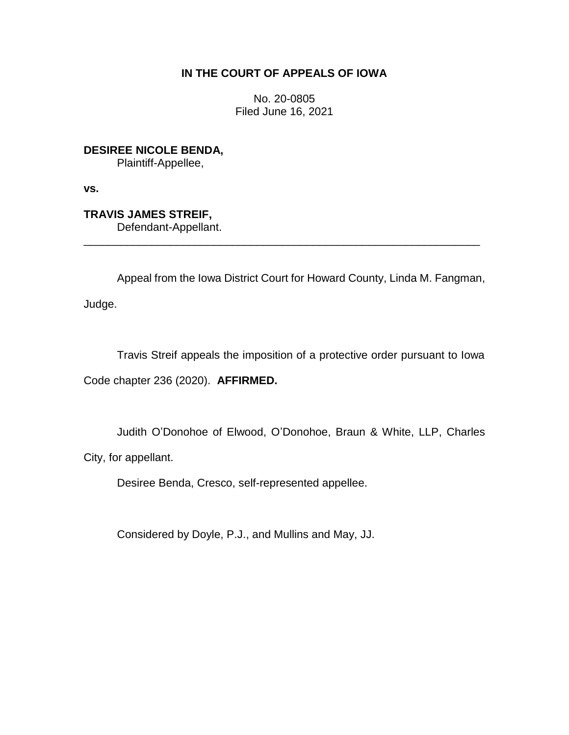# **IN THE COURT OF APPEALS OF IOWA**

No. 20-0805 Filed June 16, 2021

**DESIREE NICOLE BENDA,** Plaintiff-Appellee,

**vs.**

**TRAVIS JAMES STREIF,** Defendant-Appellant.

Appeal from the Iowa District Court for Howard County, Linda M. Fangman,

\_\_\_\_\_\_\_\_\_\_\_\_\_\_\_\_\_\_\_\_\_\_\_\_\_\_\_\_\_\_\_\_\_\_\_\_\_\_\_\_\_\_\_\_\_\_\_\_\_\_\_\_\_\_\_\_\_\_\_\_\_\_\_\_

Judge.

Travis Streif appeals the imposition of a protective order pursuant to Iowa Code chapter 236 (2020). **AFFIRMED.**

Judith O'Donohoe of Elwood, O'Donohoe, Braun & White, LLP, Charles

City, for appellant.

Desiree Benda, Cresco, self-represented appellee.

Considered by Doyle, P.J., and Mullins and May, JJ.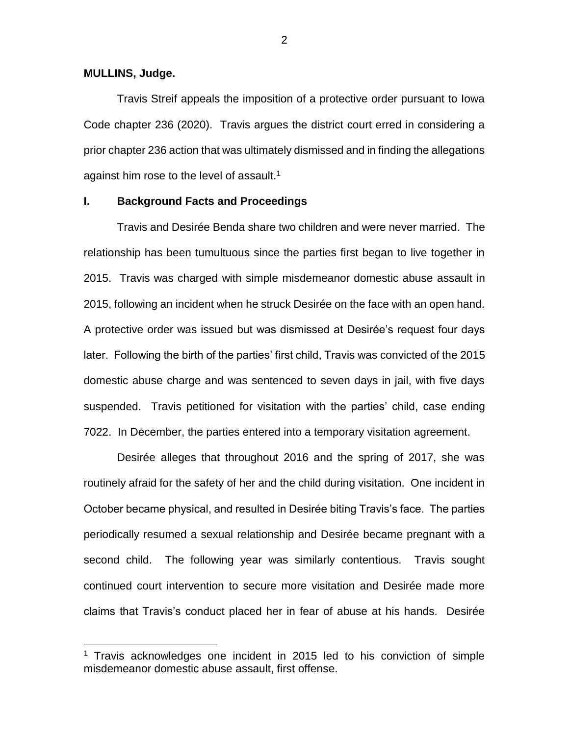**MULLINS, Judge.**

 $\overline{a}$ 

Travis Streif appeals the imposition of a protective order pursuant to Iowa Code chapter 236 (2020). Travis argues the district court erred in considering a prior chapter 236 action that was ultimately dismissed and in finding the allegations against him rose to the level of assault.<sup>1</sup>

### **I. Background Facts and Proceedings**

Travis and Desirée Benda share two children and were never married. The relationship has been tumultuous since the parties first began to live together in 2015. Travis was charged with simple misdemeanor domestic abuse assault in 2015, following an incident when he struck Desirée on the face with an open hand. A protective order was issued but was dismissed at Desirée's request four days later. Following the birth of the parties' first child, Travis was convicted of the 2015 domestic abuse charge and was sentenced to seven days in jail, with five days suspended. Travis petitioned for visitation with the parties' child, case ending 7022. In December, the parties entered into a temporary visitation agreement.

Desirée alleges that throughout 2016 and the spring of 2017, she was routinely afraid for the safety of her and the child during visitation. One incident in October became physical, and resulted in Desirée biting Travis's face. The parties periodically resumed a sexual relationship and Desirée became pregnant with a second child. The following year was similarly contentious. Travis sought continued court intervention to secure more visitation and Desirée made more claims that Travis's conduct placed her in fear of abuse at his hands. Desirée

 $1$  Travis acknowledges one incident in 2015 led to his conviction of simple misdemeanor domestic abuse assault, first offense.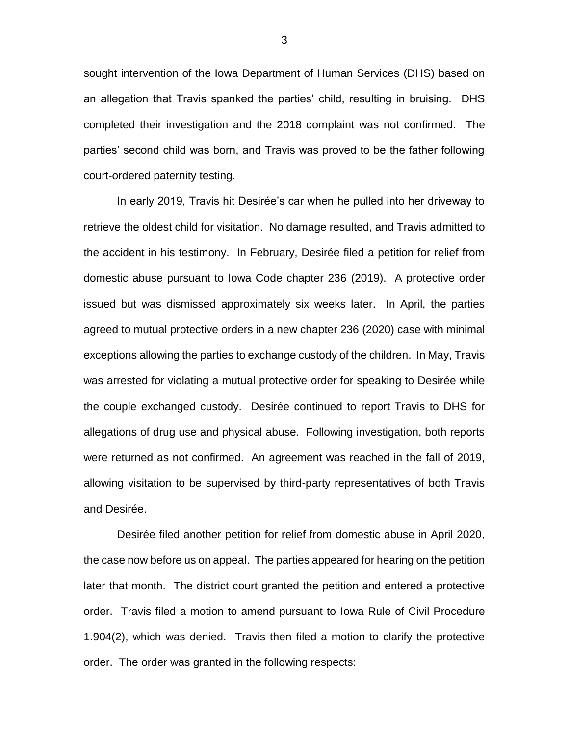sought intervention of the Iowa Department of Human Services (DHS) based on an allegation that Travis spanked the parties' child, resulting in bruising. DHS completed their investigation and the 2018 complaint was not confirmed. The parties' second child was born, and Travis was proved to be the father following court-ordered paternity testing.

In early 2019, Travis hit Desirée's car when he pulled into her driveway to retrieve the oldest child for visitation. No damage resulted, and Travis admitted to the accident in his testimony. In February, Desirée filed a petition for relief from domestic abuse pursuant to Iowa Code chapter 236 (2019). A protective order issued but was dismissed approximately six weeks later. In April, the parties agreed to mutual protective orders in a new chapter 236 (2020) case with minimal exceptions allowing the parties to exchange custody of the children. In May, Travis was arrested for violating a mutual protective order for speaking to Desirée while the couple exchanged custody. Desirée continued to report Travis to DHS for allegations of drug use and physical abuse. Following investigation, both reports were returned as not confirmed. An agreement was reached in the fall of 2019, allowing visitation to be supervised by third-party representatives of both Travis and Desirée.

Desirée filed another petition for relief from domestic abuse in April 2020, the case now before us on appeal. The parties appeared for hearing on the petition later that month. The district court granted the petition and entered a protective order. Travis filed a motion to amend pursuant to Iowa Rule of Civil Procedure 1.904(2), which was denied. Travis then filed a motion to clarify the protective order. The order was granted in the following respects: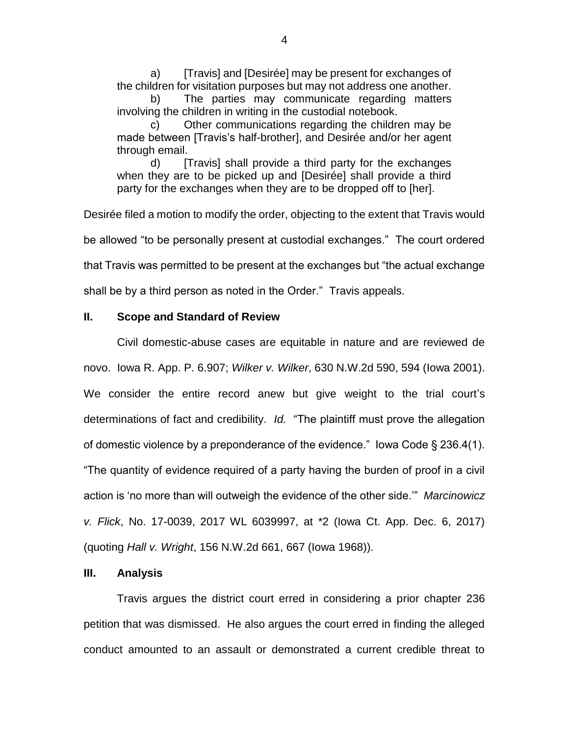a) [Travis] and [Desirée] may be present for exchanges of the children for visitation purposes but may not address one another.

b) The parties may communicate regarding matters involving the children in writing in the custodial notebook.

c) Other communications regarding the children may be made between [Travis's half-brother], and Desirée and/or her agent through email.

d) [Travis] shall provide a third party for the exchanges when they are to be picked up and [Desirée] shall provide a third party for the exchanges when they are to be dropped off to [her].

Desirée filed a motion to modify the order, objecting to the extent that Travis would be allowed "to be personally present at custodial exchanges." The court ordered that Travis was permitted to be present at the exchanges but "the actual exchange shall be by a third person as noted in the Order." Travis appeals.

## **II. Scope and Standard of Review**

Civil domestic-abuse cases are equitable in nature and are reviewed de novo. Iowa R. App. P. 6.907; *Wilker v. Wilker*, 630 N.W.2d 590, 594 (Iowa 2001). We consider the entire record anew but give weight to the trial court's determinations of fact and credibility. *Id.* "The plaintiff must prove the allegation of domestic violence by a preponderance of the evidence." Iowa Code § 236.4(1). "The quantity of evidence required of a party having the burden of proof in a civil action is 'no more than will outweigh the evidence of the other side.'" *Marcinowicz v. Flick*, No. 17-0039, 2017 WL 6039997, at \*2 (Iowa Ct. App. Dec. 6, 2017) (quoting *Hall v. Wright*, 156 N.W.2d 661, 667 (Iowa 1968)).

### **III. Analysis**

Travis argues the district court erred in considering a prior chapter 236 petition that was dismissed. He also argues the court erred in finding the alleged conduct amounted to an assault or demonstrated a current credible threat to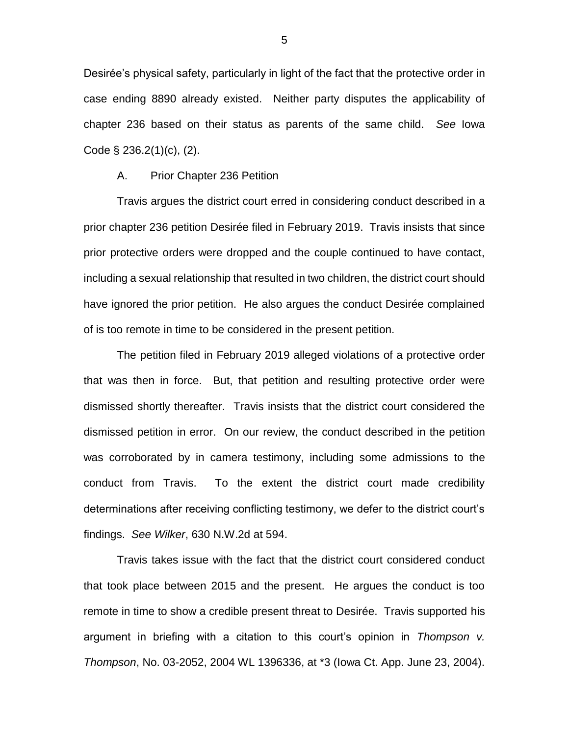Desirée's physical safety, particularly in light of the fact that the protective order in case ending 8890 already existed. Neither party disputes the applicability of chapter 236 based on their status as parents of the same child. *See* Iowa Code § 236.2(1)(c), (2).

#### A. Prior Chapter 236 Petition

Travis argues the district court erred in considering conduct described in a prior chapter 236 petition Desirée filed in February 2019. Travis insists that since prior protective orders were dropped and the couple continued to have contact, including a sexual relationship that resulted in two children, the district court should have ignored the prior petition. He also argues the conduct Desirée complained of is too remote in time to be considered in the present petition.

The petition filed in February 2019 alleged violations of a protective order that was then in force. But, that petition and resulting protective order were dismissed shortly thereafter. Travis insists that the district court considered the dismissed petition in error. On our review, the conduct described in the petition was corroborated by in camera testimony, including some admissions to the conduct from Travis. To the extent the district court made credibility determinations after receiving conflicting testimony, we defer to the district court's findings. *See Wilker*, 630 N.W.2d at 594.

Travis takes issue with the fact that the district court considered conduct that took place between 2015 and the present. He argues the conduct is too remote in time to show a credible present threat to Desirée. Travis supported his argument in briefing with a citation to this court's opinion in *Thompson v. Thompson*, No. 03-2052, 2004 WL 1396336, at \*3 (Iowa Ct. App. June 23, 2004).

5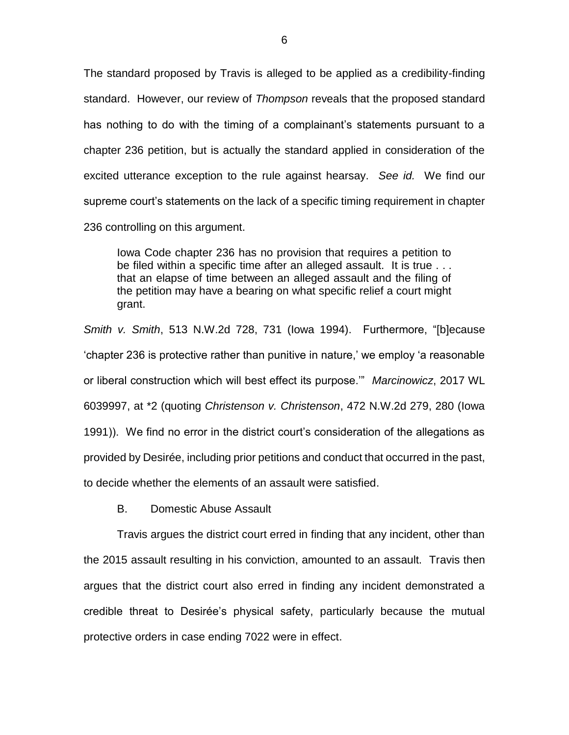The standard proposed by Travis is alleged to be applied as a credibility-finding standard. However, our review of *Thompson* reveals that the proposed standard has nothing to do with the timing of a complainant's statements pursuant to a chapter 236 petition, but is actually the standard applied in consideration of the excited utterance exception to the rule against hearsay. *See id.* We find our supreme court's statements on the lack of a specific timing requirement in chapter 236 controlling on this argument.

Iowa Code chapter 236 has no provision that requires a petition to be filed within a specific time after an alleged assault. It is true . . . that an elapse of time between an alleged assault and the filing of the petition may have a bearing on what specific relief a court might grant.

*Smith v. Smith*, 513 N.W.2d 728, 731 (Iowa 1994). Furthermore, "[b]ecause 'chapter 236 is protective rather than punitive in nature,' we employ 'a reasonable or liberal construction which will best effect its purpose.'" *Marcinowicz*, 2017 WL 6039997, at \*2 (quoting *Christenson v. Christenson*, 472 N.W.2d 279, 280 (Iowa 1991)). We find no error in the district court's consideration of the allegations as provided by Desirée, including prior petitions and conduct that occurred in the past, to decide whether the elements of an assault were satisfied.

B. Domestic Abuse Assault

Travis argues the district court erred in finding that any incident, other than the 2015 assault resulting in his conviction, amounted to an assault. Travis then argues that the district court also erred in finding any incident demonstrated a credible threat to Desirée's physical safety, particularly because the mutual protective orders in case ending 7022 were in effect.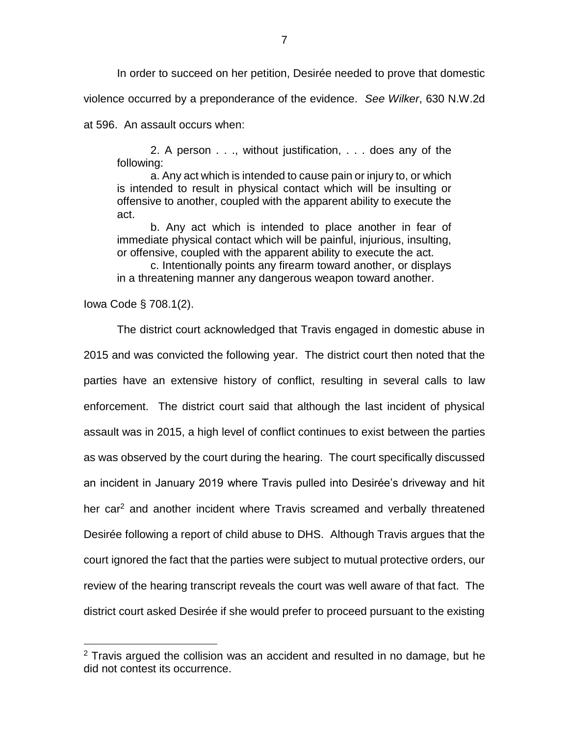In order to succeed on her petition, Desirée needed to prove that domestic

violence occurred by a preponderance of the evidence. *See Wilker*, 630 N.W.2d

at 596. An assault occurs when:

2. A person . . ., without justification, . . . does any of the following:

a. Any act which is intended to cause pain or injury to, or which is intended to result in physical contact which will be insulting or offensive to another, coupled with the apparent ability to execute the act.

b. Any act which is intended to place another in fear of immediate physical contact which will be painful, injurious, insulting, or offensive, coupled with the apparent ability to execute the act.

c. Intentionally points any firearm toward another, or displays in a threatening manner any dangerous weapon toward another.

Iowa Code § 708.1(2).

 $\overline{a}$ 

The district court acknowledged that Travis engaged in domestic abuse in 2015 and was convicted the following year. The district court then noted that the parties have an extensive history of conflict, resulting in several calls to law enforcement. The district court said that although the last incident of physical assault was in 2015, a high level of conflict continues to exist between the parties as was observed by the court during the hearing. The court specifically discussed an incident in January 2019 where Travis pulled into Desirée's driveway and hit her car<sup>2</sup> and another incident where Travis screamed and verbally threatened Desirée following a report of child abuse to DHS. Although Travis argues that the court ignored the fact that the parties were subject to mutual protective orders, our review of the hearing transcript reveals the court was well aware of that fact. The district court asked Desirée if she would prefer to proceed pursuant to the existing

 $2$  Travis argued the collision was an accident and resulted in no damage, but he did not contest its occurrence.